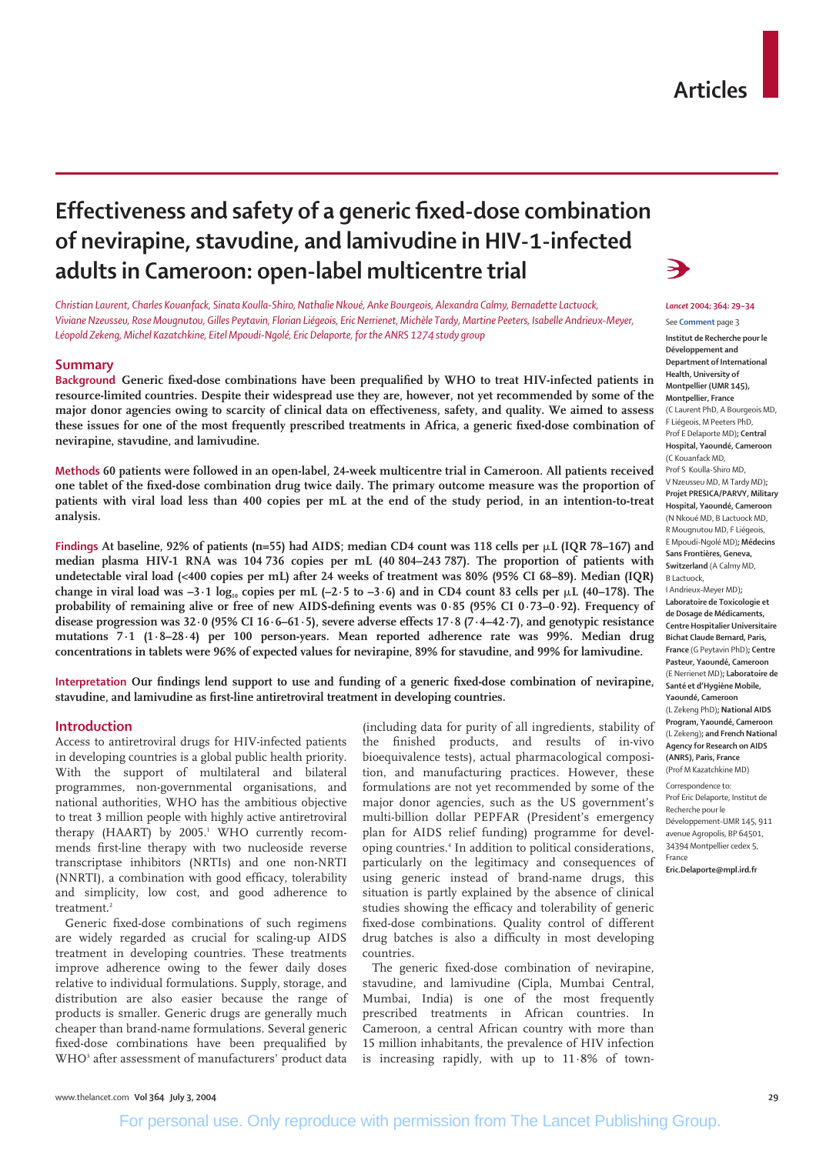# **Effectiveness and safety of a generic fixed-dose combination of nevirapine, stavudine, and lamivudine in HIV-1-infected adults in Cameroon: open-label multicentre trial**

*Léopold Zekeng, Michel Kazatchkine, Eitel Mpoudi-Ngolé, Eric Delaporte, for the ANRS 1274 study group Christian Laurent, Charles Kouanfack, Sinata Koulla-Shiro, Nathalie Nkoué, Anke Bourgeois, Alexandra Calmy, Bernadette Lactuock, Viviane Nzeusseu, Rose Mougnutou, Gilles Peytavin, Florian Liégeois, Eric Nerrienet, Michèle Tardy, Martine Peeters, Isabelle Andrieux-Meyer,*

#### **Summary**

**Background Generic fixed-dose combinations have been prequalified by WHO to treat HIV-infected patients in resource-limited countries. Despite their widespread use they are, however, not yet recommended by some of the major donor agencies owing to scarcity of clinical data on effectiveness, safety, and quality. We aimed to assess these issues for one of the most frequently prescribed treatments in Africa, a generic fixed-dose combination of nevirapine, stavudine, and lamivudine.**

**Methods 60 patients were followed in an open-label, 24-week multicentre trial in Cameroon. All patients received one tablet of the fixed-dose combination drug twice daily. The primary outcome measure was the proportion of patients with viral load less than 400 copies per mL at the end of the study period, in an intention-to-treat analysis.**

Findings At baseline, 92% of patients (n=55) had AIDS; median CD4 count was 118 cells per  $\mu$ L (IQR 78–167) and **median plasma HIV-1 RNA was 104 736 copies per mL (40 804–243 787). The proportion of patients with undetectable viral load (<400 copies per mL) after 24 weeks of treatment was 80% (95% CI 68–89). Median (IQR)** change in viral load was  $-3.1 \log_{10}$  copies per mL ( $-2.5$  to  $-3.6$ ) and in CD4 count 83 cells per  $\mu$ L (40–178). The **probability of remaining alive or free of new AIDS-defining events was 0·85 (95% CI 0·73–0·92). Frequency of disease progression was 32·0 (95% CI 16·6–61·5), severe adverse effects 17·8 (7·4–42·7), and genotypic resistance mutations 7·1 (1·8–28·4) per 100 person-years. Mean reported adherence rate was 99%. Median drug concentrations in tablets were 96% of expected values for nevirapine, 89% for stavudine, and 99% for lamivudine.**

**Interpretation Our findings lend support to use and funding of a generic fixed-dose combination of nevirapine, stavudine, and lamivudine as first-line antiretroviral treatment in developing countries.** 

#### **Introduction**

Access to antiretroviral drugs for HIV-infected patients in developing countries is a global public health priority. With the support of multilateral and bilateral programmes, non-governmental organisations, and national authorities, WHO has the ambitious objective to treat 3 million people with highly active antiretroviral therapy (HAART) by 2005.<sup>1</sup> WHO currently recommends first-line therapy with two nucleoside reverse transcriptase inhibitors (NRTIs) and one non-NRTI (NNRTI), a combination with good efficacy, tolerability and simplicity, low cost, and good adherence to treatment.<sup>2</sup>

Generic fixed-dose combinations of such regimens are widely regarded as crucial for scaling-up AIDS treatment in developing countries. These treatments improve adherence owing to the fewer daily doses relative to individual formulations. Supply, storage, and distribution are also easier because the range of products is smaller. Generic drugs are generally much cheaper than brand-name formulations. Several generic fixed-dose combinations have been prequalified by WHO<sup>3</sup> after assessment of manufacturers' product data (including data for purity of all ingredients, stability of the finished products, and results of in-vivo bioequivalence tests), actual pharmacological composition, and manufacturing practices. However, these formulations are not yet recommended by some of the major donor agencies, such as the US government's multi-billion dollar PEPFAR (President's emergency plan for AIDS relief funding) programme for developing countries.4 In addition to political considerations, particularly on the legitimacy and consequences of using generic instead of brand-name drugs, this situation is partly explained by the absence of clinical studies showing the efficacy and tolerability of generic fixed-dose combinations. Quality control of different drug batches is also a difficulty in most developing countries.

The generic fixed-dose combination of nevirapine, stavudine, and lamivudine (Cipla, Mumbai Central, Mumbai, India) is one of the most frequently prescribed treatments in African countries. In Cameroon, a central African country with more than 15 million inhabitants, the prevalence of HIV infection is increasing rapidly, with up to  $11.8\%$  of town-



#### *Lancet* **2004; 364: 29–34** See **Comment** page 3

**Institut de Recherche pour le Développement and Department of International Health, University of Montpellier (UMR 145), Montpellier, France** (C Laurent PhD, A Bourgeois MD, F Liégeois, M Peeters PhD, Prof E Delaporte MD)**; Central Hospital, Yaoundé, Cameroon** (C Kouanfack MD, Prof S Koulla-Shiro MD, V Nzeusseu MD, M Tardy MD)**; Projet PRESICA/PARVY, Military Hospital, Yaoundé, Cameroon** (N Nkoué MD, B Lactuock MD, R Mougnutou MD, F Liégeois, E Mpoudi-Ngolé MD)**; Médecins Sans Frontières, Geneva, Switzerland** (A Calmy MD, B Lactuock, I Andrieux-Meyer MD)**;**

**Laboratoire de Toxicologie et de Dosage de Médicaments, Centre Hospitalier Universitaire Bichat Claude Bernard, Paris, France** (G Peytavin PhD)**; Centre Pasteur, Yaoundé, Cameroon** (E Nerrienet MD)**; Laboratoire de Santé et d'Hygiène Mobile, Yaoundé, Cameroon** (L Zekeng PhD)**; National AIDS Program, Yaoundé, Cameroon** (L Zekeng)**; and French National Agency for Research on AIDS (ANRS), Paris, France** (Prof M Kazatchkine MD)

Correspondence to:

Prof EricDelaporte, Institut de Recherche pour le Développement-UMR 145, 911 avenue Agropolis, BP 64501, 34394 Montpellier cedex 5, France **Eric.Delaporte@mpl.ird.fr**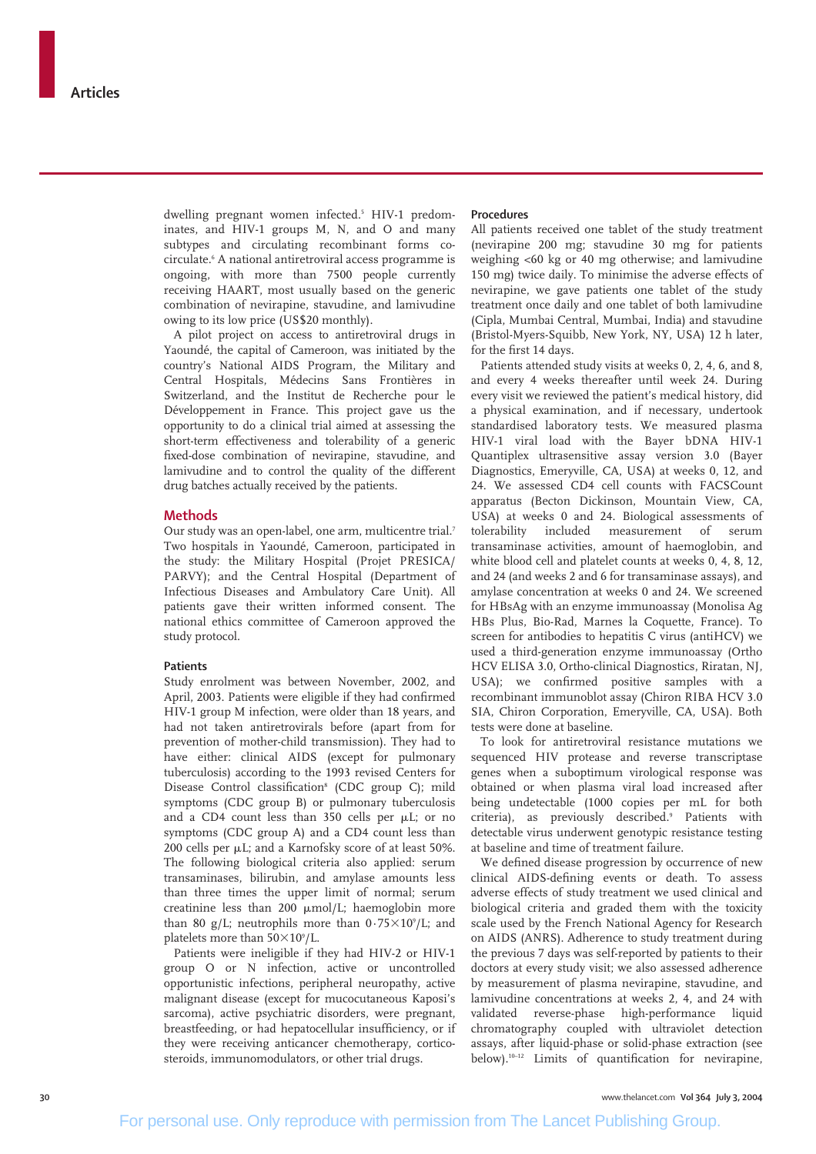dwelling pregnant women infected.<sup>5</sup> HIV-1 predominates, and HIV-1 groups M, N, and O and many subtypes and circulating recombinant forms cocirculate.6 A national antiretroviral access programme is ongoing, with more than 7500 people currently receiving HAART, most usually based on the generic combination of nevirapine, stavudine, and lamivudine owing to its low price (US\$20 monthly).

A pilot project on access to antiretroviral drugs in Yaoundé, the capital of Cameroon, was initiated by the country's National AIDS Program, the Military and Central Hospitals, Médecins Sans Frontières in Switzerland, and the Institut de Recherche pour le Développement in France. This project gave us the opportunity to do a clinical trial aimed at assessing the short-term effectiveness and tolerability of a generic fixed-dose combination of nevirapine, stavudine, and lamivudine and to control the quality of the different drug batches actually received by the patients.

#### **Methods**

Our study was an open-label, one arm, multicentre trial.<sup>7</sup> Two hospitals in Yaoundé, Cameroon, participated in the study: the Military Hospital (Projet PRESICA/ PARVY); and the Central Hospital (Department of Infectious Diseases and Ambulatory Care Unit). All patients gave their written informed consent. The national ethics committee of Cameroon approved the study protocol.

#### **Patients**

Study enrolment was between November, 2002, and April, 2003. Patients were eligible if they had confirmed HIV-1 group M infection, were older than 18 years, and had not taken antiretrovirals before (apart from for prevention of mother-child transmission). They had to have either: clinical AIDS (except for pulmonary tuberculosis) according to the 1993 revised Centers for Disease Control classification<sup>8</sup> (CDC group C); mild symptoms (CDC group B) or pulmonary tuberculosis and a CD4 count less than  $350$  cells per  $\mu$ L; or no symptoms (CDC group A) and a CD4 count less than 200 cells per  $\mu$ L; and a Karnofsky score of at least 50%. The following biological criteria also applied: serum transaminases, bilirubin, and amylase amounts less than three times the upper limit of normal; serum creatinine less than  $200 \mu \text{mol/L}$ ; haemoglobin more than 80 g/L; neutrophils more than  $0.75\times10^9$ /L; and platelets more than  $50\times10^9$ /L.

Patients were ineligible if they had HIV-2 or HIV-1 group O or N infection, active or uncontrolled opportunistic infections, peripheral neuropathy, active malignant disease (except for mucocutaneous Kaposi's sarcoma), active psychiatric disorders, were pregnant, breastfeeding, or had hepatocellular insufficiency, or if they were receiving anticancer chemotherapy, corticosteroids, immunomodulators, or other trial drugs.

#### **Procedures**

All patients received one tablet of the study treatment (nevirapine 200 mg; stavudine 30 mg for patients weighing <60 kg or 40 mg otherwise; and lamivudine 150 mg) twice daily. To minimise the adverse effects of nevirapine, we gave patients one tablet of the study treatment once daily and one tablet of both lamivudine (Cipla, Mumbai Central, Mumbai, India) and stavudine (Bristol-Myers-Squibb, New York, NY, USA) 12 h later, for the first 14 days.

Patients attended study visits at weeks 0, 2, 4, 6, and 8, and every 4 weeks thereafter until week 24. During every visit we reviewed the patient's medical history, did a physical examination, and if necessary, undertook standardised laboratory tests. We measured plasma HIV-1 viral load with the Bayer bDNA HIV-1 Quantiplex ultrasensitive assay version 3.0 (Bayer Diagnostics, Emeryville, CA, USA) at weeks 0, 12, and 24. We assessed CD4 cell counts with FACSCount apparatus (Becton Dickinson, Mountain View, CA, USA) at weeks 0 and 24. Biological assessments of tolerability included measurement of serum transaminase activities, amount of haemoglobin, and white blood cell and platelet counts at weeks 0, 4, 8, 12, and 24 (and weeks 2 and 6 for transaminase assays), and amylase concentration at weeks 0 and 24. We screened for HBsAg with an enzyme immunoassay (Monolisa Ag HBs Plus, Bio-Rad, Marnes la Coquette, France). To screen for antibodies to hepatitis C virus (antiHCV) we used a third-generation enzyme immunoassay (Ortho HCV ELISA 3.0, Ortho-clinical Diagnostics, Riratan, NJ, USA); we confirmed positive samples with a recombinant immunoblot assay (Chiron RIBA HCV 3.0 SIA, Chiron Corporation, Emeryville, CA, USA). Both tests were done at baseline.

To look for antiretroviral resistance mutations we sequenced HIV protease and reverse transcriptase genes when a suboptimum virological response was obtained or when plasma viral load increased after being undetectable (1000 copies per mL for both criteria), as previously described.<sup>9</sup> Patients with detectable virus underwent genotypic resistance testing at baseline and time of treatment failure.

We defined disease progression by occurrence of new clinical AIDS-defining events or death. To assess adverse effects of study treatment we used clinical and biological criteria and graded them with the toxicity scale used by the French National Agency for Research on AIDS (ANRS). Adherence to study treatment during the previous 7 days was self-reported by patients to their doctors at every study visit; we also assessed adherence by measurement of plasma nevirapine, stavudine, and lamivudine concentrations at weeks 2, 4, and 24 with validated reverse-phase high-performance liquid chromatography coupled with ultraviolet detection assays, after liquid-phase or solid-phase extraction (see below).10–12 Limits of quantification for nevirapine,

**30** www.thelancet.com **Vol 364 July 3, 2004**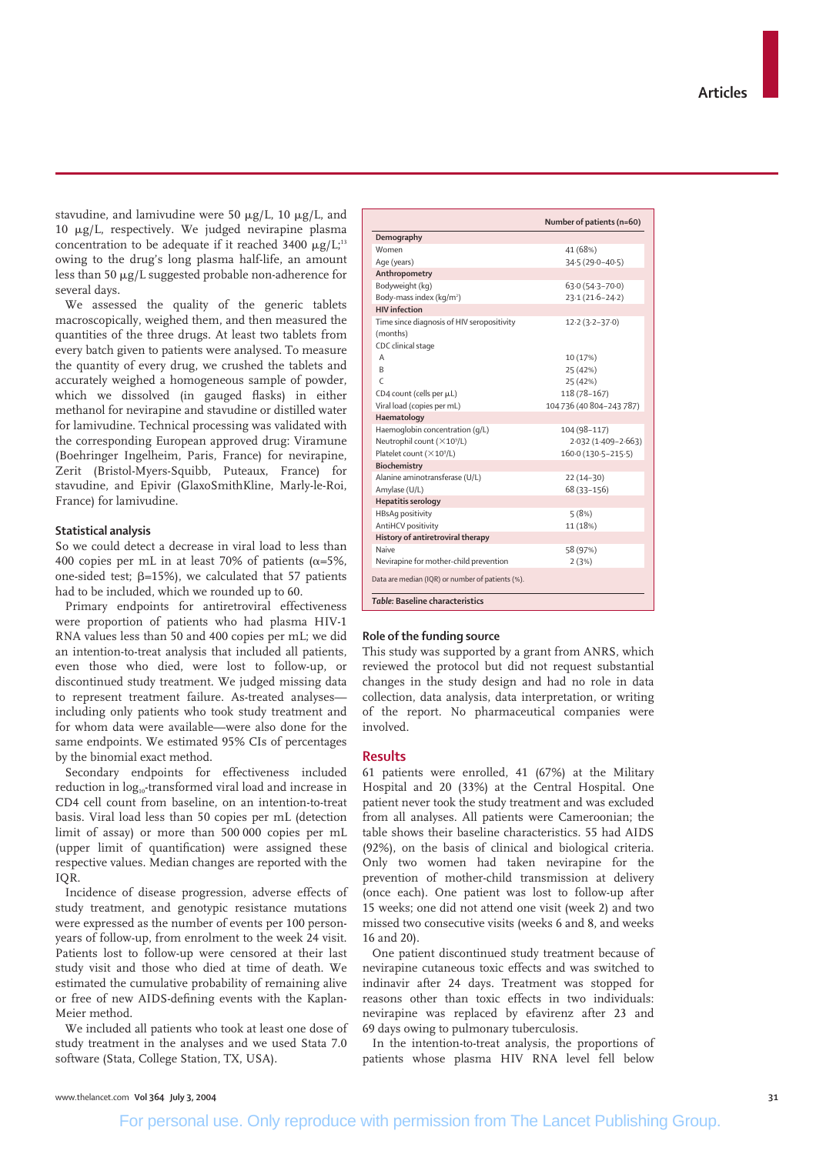stavudine, and lamivudine were 50  $\mu$ g/L, 10  $\mu$ g/L, and  $10 \mu g/L$ , respectively. We judged nevirapine plasma concentration to be adequate if it reached 3400  $\mu$ g/L;<sup>13</sup> owing to the drug's long plasma half-life, an amount less than 50  $\mu$ g/L suggested probable non-adherence for several days.

We assessed the quality of the generic tablets macroscopically, weighed them, and then measured the quantities of the three drugs. At least two tablets from every batch given to patients were analysed. To measure the quantity of every drug, we crushed the tablets and accurately weighed a homogeneous sample of powder, which we dissolved (in gauged flasks) in either methanol for nevirapine and stavudine or distilled water for lamivudine. Technical processing was validated with the corresponding European approved drug: Viramune (Boehringer Ingelheim, Paris, France) for nevirapine, Zerit (Bristol-Myers-Squibb, Puteaux, France) for stavudine, and Epivir (GlaxoSmithKline, Marly-le-Roi, France) for lamivudine.

# **Statistical analysis**

So we could detect a decrease in viral load to less than 400 copies per mL in at least 70% of patients ( $\alpha$ =5%, one-sided test;  $\beta = 15\%$ ), we calculated that 57 patients had to be included, which we rounded up to 60.

Primary endpoints for antiretroviral effectiveness were proportion of patients who had plasma HIV-1 RNA values less than 50 and 400 copies per mL; we did an intention-to-treat analysis that included all patients, even those who died, were lost to follow-up, or discontinued study treatment. We judged missing data to represent treatment failure. As-treated analyses including only patients who took study treatment and for whom data were available—were also done for the same endpoints. We estimated 95% CIs of percentages by the binomial exact method.

Secondary endpoints for effectiveness included reduction in log<sub>10</sub>-transformed viral load and increase in CD4 cell count from baseline, on an intention-to-treat basis. Viral load less than 50 copies per mL (detection limit of assay) or more than 500 000 copies per mL (upper limit of quantification) were assigned these respective values. Median changes are reported with the IQR.

Incidence of disease progression, adverse effects of study treatment, and genotypic resistance mutations were expressed as the number of events per 100 personyears of follow-up, from enrolment to the week 24 visit. Patients lost to follow-up were censored at their last study visit and those who died at time of death. We estimated the cumulative probability of remaining alive or free of new AIDS-defining events with the Kaplan-Meier method.

We included all patients who took at least one dose of study treatment in the analyses and we used Stata 7.0 software (Stata, College Station, TX, USA).

|                                                  | Number of patients (n=60) |
|--------------------------------------------------|---------------------------|
| Demography                                       |                           |
| Women                                            | 41 (68%)                  |
| Age (years)                                      | 34.5 (29.0-40.5)          |
| Anthropometry                                    |                           |
| Bodyweight (kg)                                  | $63.0(54.3 - 70.0)$       |
| Body-mass index (kg/m <sup>2</sup> )             | $23.1(21.6 - 24.2)$       |
| <b>HIV</b> infection                             |                           |
| Time since diagnosis of HIV seropositivity       | $12.2(3.2 - 37.0)$        |
| (months)                                         |                           |
| CDC clinical stage                               |                           |
| A                                                | 10 (17%)                  |
| B                                                | 25 (42%)                  |
| $\epsilon$                                       | 25 (42%)                  |
| CD4 count (cells per µL)                         | 118 (78-167)              |
| Viral load (copies per mL)                       | 104736 (40 804-243 787)   |
| Haematology                                      |                           |
| Haemoglobin concentration (g/L)                  | 104 (98-117)              |
| Neutrophil count (×109/L)                        | 2.032 (1.409-2.663)       |
| Platelet count (×109/L)                          | 160.0 (130.5-215.5)       |
| Biochemistry                                     |                           |
| Alanine aminotransferase (U/L)                   | $22(14-30)$               |
| Amylase (U/L)                                    | 68 (33-156)               |
| <b>Hepatitis serology</b>                        |                           |
| <b>HBsAq positivity</b>                          | 5(8%)                     |
| AntiHCV positivity                               | 11 (18%)                  |
| History of antiretroviral therapy                |                           |
| Naive                                            | 58 (97%)                  |
| Nevirapine for mother-child prevention           | 2(3%)                     |
| Data are median (IQR) or number of patients (%). |                           |

### **Role of the funding source**

This study was supported by a grant from ANRS, which reviewed the protocol but did not request substantial changes in the study design and had no role in data collection, data analysis, data interpretation, or writing of the report. No pharmaceutical companies were involved.

#### **Results**

61 patients were enrolled, 41 (67%) at the Military Hospital and 20 (33%) at the Central Hospital. One patient never took the study treatment and was excluded from all analyses. All patients were Cameroonian; the table shows their baseline characteristics. 55 had AIDS (92%), on the basis of clinical and biological criteria. Only two women had taken nevirapine for the prevention of mother-child transmission at delivery (once each). One patient was lost to follow-up after 15 weeks; one did not attend one visit (week 2) and two missed two consecutive visits (weeks 6 and 8, and weeks 16 and 20).

One patient discontinued study treatment because of nevirapine cutaneous toxic effects and was switched to indinavir after 24 days. Treatment was stopped for reasons other than toxic effects in two individuals: nevirapine was replaced by efavirenz after 23 and 69 days owing to pulmonary tuberculosis.

In the intention-to-treat analysis, the proportions of patients whose plasma HIV RNA level fell below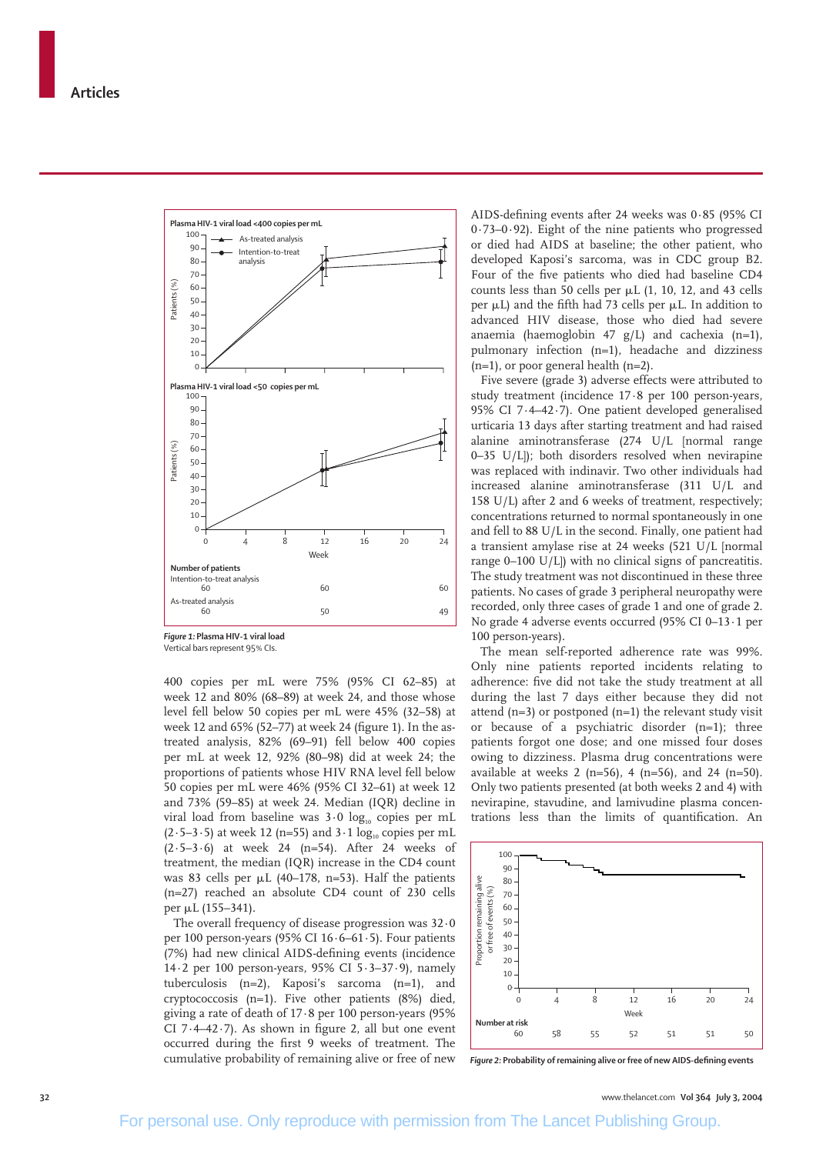

Vertical bars represent 95% CIs.

400 copies per mL were 75% (95% CI 62–85) at week 12 and 80% (68–89) at week 24, and those whose level fell below 50 copies per mL were 45% (32–58) at week 12 and 65% (52–77) at week 24 (figure 1). In the astreated analysis, 82% (69–91) fell below 400 copies per mL at week 12, 92% (80–98) did at week 24; the proportions of patients whose HIV RNA level fell below 50 copies per mL were 46% (95% CI 32–61) at week 12 and 73% (59–85) at week 24. Median (IQR) decline in viral load from baseline was  $3.0 \log_{10}$  copies per mL  $(2.5-3.5)$  at week 12 (n=55) and  $3.1 \log_{10}$  copies per mL (2·5–3·6) at week 24 (n=54). After 24 weeks of treatment, the median (IQR) increase in the CD4 count was 83 cells per  $\mu$ L (40–178, n=53). Half the patients (n=27) reached an absolute CD4 count of 230 cells per µL (155–341).

The overall frequency of disease progression was 32·0 per 100 person-years (95% CI  $16 \cdot 6 - 61 \cdot 5$ ). Four patients (7%) had new clinical AIDS-defining events (incidence 14·2 per 100 person-years, 95% CI 5·3–37·9), namely tuberculosis (n=2), Kaposi's sarcoma (n=1), and cryptococcosis (n=1). Five other patients (8%) died, giving a rate of death of 17·8 per 100 person-years (95% CI 7·4–42·7). As shown in figure 2, all but one event occurred during the first 9 weeks of treatment. The cumulative probability of remaining alive or free of new AIDS-defining events after 24 weeks was 0·85 (95% CI 0·73–0·92). Eight of the nine patients who progressed or died had AIDS at baseline; the other patient, who developed Kaposi's sarcoma, was in CDC group B2. Four of the five patients who died had baseline CD4 counts less than 50 cells per  $\mu$ L (1, 10, 12, and 43 cells per  $\mu$ L) and the fifth had 73 cells per  $\mu$ L. In addition to advanced HIV disease, those who died had severe anaemia (haemoglobin 47 g/L) and cachexia (n=1), pulmonary infection (n=1), headache and dizziness (n=1), or poor general health (n=2).

Five severe (grade 3) adverse effects were attributed to study treatment (incidence 17·8 per 100 person-years, 95% CI 7·4–42·7). One patient developed generalised urticaria 13 days after starting treatment and had raised alanine aminotransferase (274 U/L [normal range 0–35 U/L]); both disorders resolved when nevirapine was replaced with indinavir. Two other individuals had increased alanine aminotransferase (311 U/L and 158 U/L) after 2 and 6 weeks of treatment, respectively; concentrations returned to normal spontaneously in one and fell to 88 U/L in the second. Finally, one patient had a transient amylase rise at 24 weeks (521 U/L [normal range 0–100 U/L]) with no clinical signs of pancreatitis. The study treatment was not discontinued in these three patients. No cases of grade 3 peripheral neuropathy were recorded, only three cases of grade 1 and one of grade 2. No grade 4 adverse events occurred (95% CI 0–13·1 per 100 person-years).

The mean self-reported adherence rate was 99%. Only nine patients reported incidents relating to adherence: five did not take the study treatment at all during the last 7 days either because they did not attend  $(n=3)$  or postponed  $(n=1)$  the relevant study visit or because of a psychiatric disorder (n=1); three patients forgot one dose; and one missed four doses owing to dizziness. Plasma drug concentrations were available at weeks 2 (n=56), 4 (n=56), and 24 (n=50). Only two patients presented (at both weeks 2 and 4) with nevirapine, stavudine, and lamivudine plasma concentrations less than the limits of quantification. An



*Figure 2:* **Probability of remaining alive or free of new AIDS-defining events**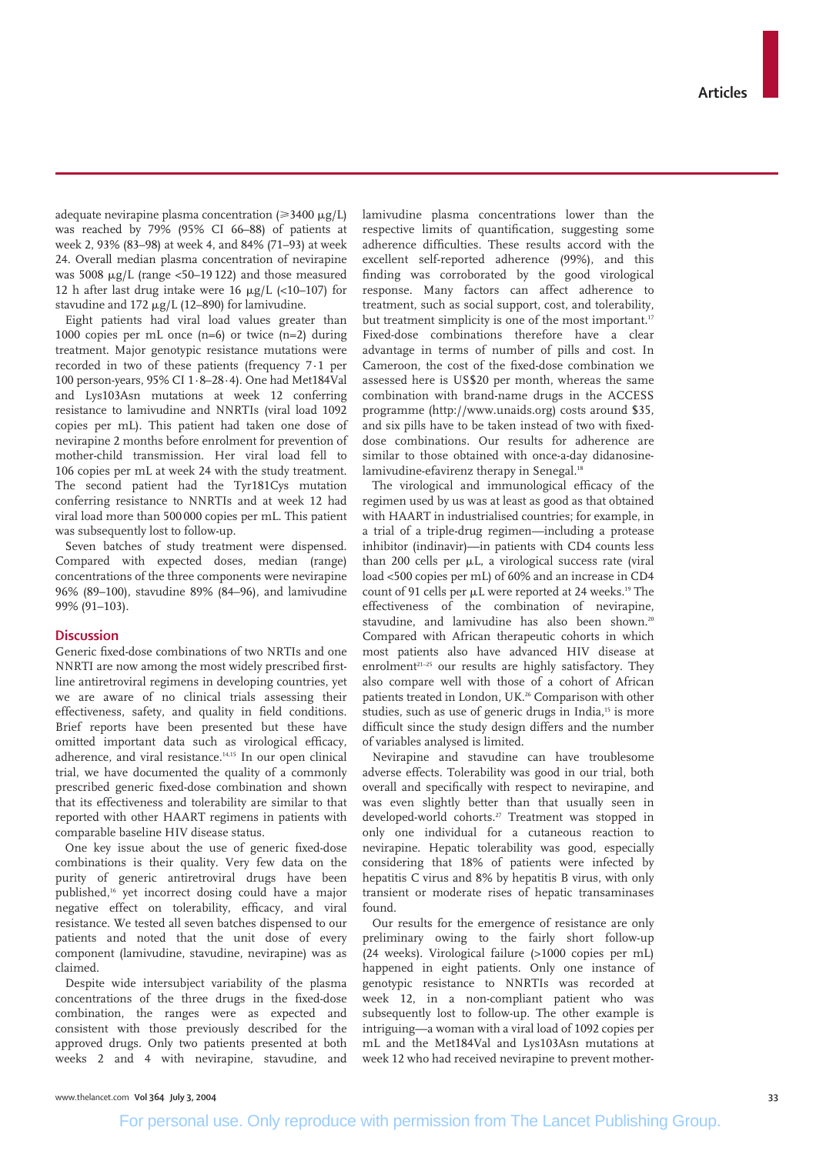adequate nevirapine plasma concentration ( $\geq 3400 \mu g/L$ ) was reached by 79% (95% CI 66–88) of patients at week 2, 93% (83–98) at week 4, and 84% (71–93) at week 24. Overall median plasma concentration of nevirapine was  $5008 \mu g/L$  (range <50–19 122) and those measured 12 h after last drug intake were 16  $\mu$ g/L (<10-107) for stavudine and  $172 \mu g/L$  (12–890) for lamivudine.

Eight patients had viral load values greater than 1000 copies per mL once  $(n=6)$  or twice  $(n=2)$  during treatment. Major genotypic resistance mutations were recorded in two of these patients (frequency 7·1 per 100 person-years, 95% CI 1·8–28·4). One had Met184Val and Lys103Asn mutations at week 12 conferring resistance to lamivudine and NNRTIs (viral load 1092 copies per mL). This patient had taken one dose of nevirapine 2 months before enrolment for prevention of mother-child transmission. Her viral load fell to 106 copies per mL at week 24 with the study treatment. The second patient had the Tyr181Cys mutation conferring resistance to NNRTIs and at week 12 had viral load more than 500 000 copies per mL. This patient was subsequently lost to follow-up.

Seven batches of study treatment were dispensed. Compared with expected doses, median (range) concentrations of the three components were nevirapine 96% (89–100), stavudine 89% (84–96), and lamivudine 99% (91–103).

# **Discussion**

Generic fixed-dose combinations of two NRTIs and one NNRTI are now among the most widely prescribed firstline antiretroviral regimens in developing countries, yet we are aware of no clinical trials assessing their effectiveness, safety, and quality in field conditions. Brief reports have been presented but these have omitted important data such as virological efficacy, adherence, and viral resistance.14,15 In our open clinical trial, we have documented the quality of a commonly prescribed generic fixed-dose combination and shown that its effectiveness and tolerability are similar to that reported with other HAART regimens in patients with comparable baseline HIV disease status.

One key issue about the use of generic fixed-dose combinations is their quality. Very few data on the purity of generic antiretroviral drugs have been published,16 yet incorrect dosing could have a major negative effect on tolerability, efficacy, and viral resistance. We tested all seven batches dispensed to our patients and noted that the unit dose of every component (lamivudine, stavudine, nevirapine) was as claimed.

Despite wide intersubject variability of the plasma concentrations of the three drugs in the fixed-dose combination, the ranges were as expected and consistent with those previously described for the approved drugs. Only two patients presented at both weeks 2 and 4 with nevirapine, stavudine, and

lamivudine plasma concentrations lower than the respective limits of quantification, suggesting some adherence difficulties. These results accord with the excellent self-reported adherence (99%), and this finding was corroborated by the good virological response. Many factors can affect adherence to treatment, such as social support, cost, and tolerability, but treatment simplicity is one of the most important.<sup>17</sup> Fixed-dose combinations therefore have a clear advantage in terms of number of pills and cost. In Cameroon, the cost of the fixed-dose combination we assessed here is US\$20 per month, whereas the same combination with brand-name drugs in the ACCESS programme (http://www.unaids.org) costs around \$35, and six pills have to be taken instead of two with fixeddose combinations. Our results for adherence are similar to those obtained with once-a-day didanosinelamivudine-efavirenz therapy in Senegal.<sup>18</sup>

The virological and immunological efficacy of the regimen used by us was at least as good as that obtained with HAART in industrialised countries; for example, in a trial of a triple-drug regimen—including a protease inhibitor (indinavir)—in patients with CD4 counts less than 200 cells per µL, a virological success rate (viral load <500 copies per mL) of 60% and an increase in CD4 count of 91 cells per  $\mu$ L were reported at 24 weeks.<sup>19</sup> The effectiveness of the combination of nevirapine, stavudine, and lamivudine has also been shown.<sup>20</sup> Compared with African therapeutic cohorts in which most patients also have advanced HIV disease at enrolment<sup>21-25</sup> our results are highly satisfactory. They also compare well with those of a cohort of African patients treated in London, UK.26 Comparison with other studies, such as use of generic drugs in India,<sup>15</sup> is more difficult since the study design differs and the number of variables analysed is limited.

Nevirapine and stavudine can have troublesome adverse effects. Tolerability was good in our trial, both overall and specifically with respect to nevirapine, and was even slightly better than that usually seen in developed-world cohorts.27 Treatment was stopped in only one individual for a cutaneous reaction to nevirapine. Hepatic tolerability was good, especially considering that 18% of patients were infected by hepatitis C virus and 8% by hepatitis B virus, with only transient or moderate rises of hepatic transaminases found.

Our results for the emergence of resistance are only preliminary owing to the fairly short follow-up (24 weeks). Virological failure (>1000 copies per mL) happened in eight patients. Only one instance of genotypic resistance to NNRTIs was recorded at week 12, in a non-compliant patient who was subsequently lost to follow-up. The other example is intriguing—a woman with a viral load of 1092 copies per mL and the Met184Val and Lys103Asn mutations at week 12 who had received nevirapine to prevent mother